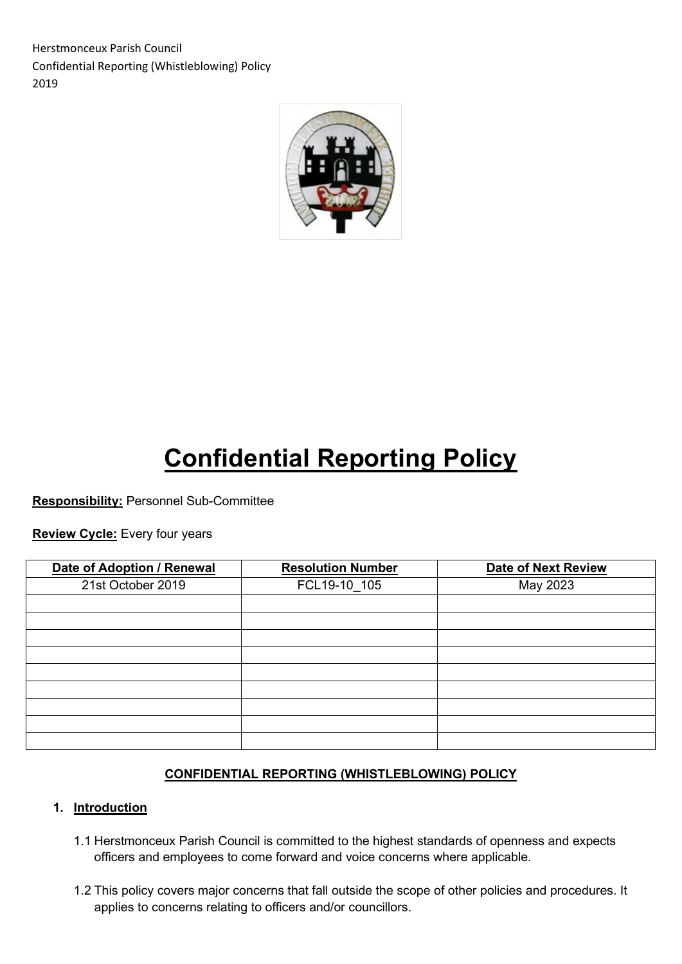Herstmonceux Parish Council Confidential Reporting (Whistleblowing) Policy 2019



# **Confidential Reporting Policy**

**Responsibility:** Personnel Sub-Committee

**Review Cycle:** Every four years

| Date of Adoption / Renewal | <b>Resolution Number</b> | <b>Date of Next Review</b> |
|----------------------------|--------------------------|----------------------------|
| 21st October 2019          | FCL19-10 105             | May 2023                   |
|                            |                          |                            |
|                            |                          |                            |
|                            |                          |                            |
|                            |                          |                            |
|                            |                          |                            |
|                            |                          |                            |
|                            |                          |                            |
|                            |                          |                            |
|                            |                          |                            |

# **CONFIDENTIAL REPORTING (WHISTLEBLOWING) POLICY**

#### **1. Introduction**

- 1.1 Herstmonceux Parish Council is committed to the highest standards of openness and expects officers and employees to come forward and voice concerns where applicable.
- 1.2 This policy covers major concerns that fall outside the scope of other policies and procedures. It applies to concerns relating to officers and/or councillors.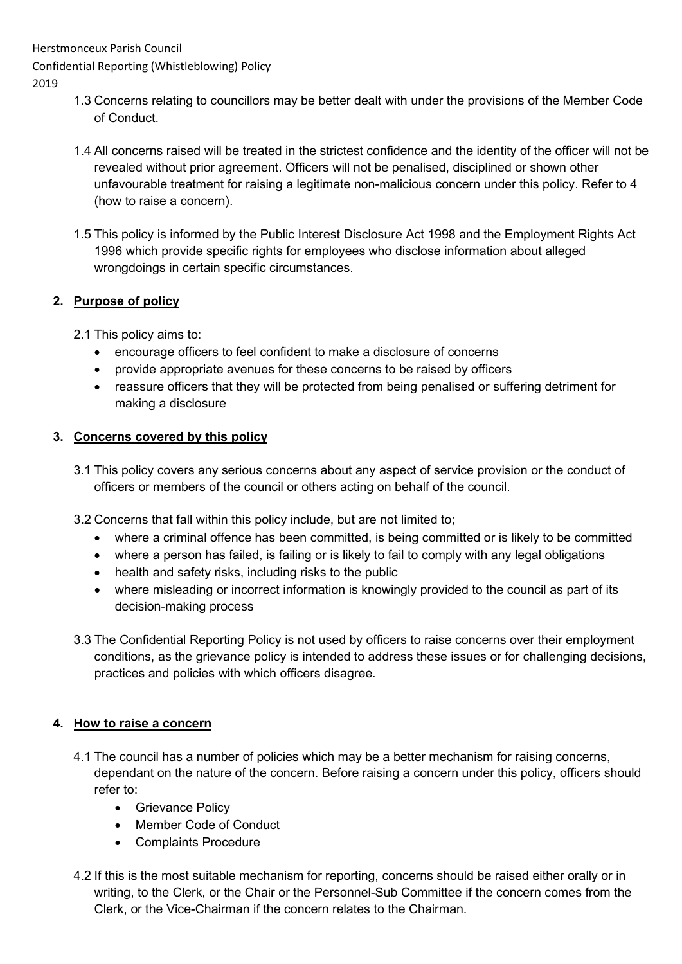Herstmonceux Parish Council

Confidential Reporting (Whistleblowing) Policy

2019

- 1.3 Concerns relating to councillors may be better dealt with under the provisions of the Member Code of Conduct.
- 1.4 All concerns raised will be treated in the strictest confidence and the identity of the officer will not be revealed without prior agreement. Officers will not be penalised, disciplined or shown other unfavourable treatment for raising a legitimate non-malicious concern under this policy. Refer to 4 (how to raise a concern).
- 1.5 This policy is informed by the Public Interest Disclosure Act 1998 and the Employment Rights Act 1996 which provide specific rights for employees who disclose information about alleged wrongdoings in certain specific circumstances.

# **2. Purpose of policy**

- 2.1 This policy aims to:
	- encourage officers to feel confident to make a disclosure of concerns
	- provide appropriate avenues for these concerns to be raised by officers
	- reassure officers that they will be protected from being penalised or suffering detriment for making a disclosure

# **3. Concerns covered by this policy**

- 3.1 This policy covers any serious concerns about any aspect of service provision or the conduct of officers or members of the council or others acting on behalf of the council.
- 3.2 Concerns that fall within this policy include, but are not limited to;
	- where a criminal offence has been committed, is being committed or is likely to be committed
	- where a person has failed, is failing or is likely to fail to comply with any legal obligations
	- health and safety risks, including risks to the public
	- where misleading or incorrect information is knowingly provided to the council as part of its decision-making process
- 3.3 The Confidential Reporting Policy is not used by officers to raise concerns over their employment conditions, as the grievance policy is intended to address these issues or for challenging decisions, practices and policies with which officers disagree.

# **4. How to raise a concern**

- 4.1 The council has a number of policies which may be a better mechanism for raising concerns, dependant on the nature of the concern. Before raising a concern under this policy, officers should refer to:
	- Grievance Policy
	- Member Code of Conduct
	- Complaints Procedure
- 4.2 If this is the most suitable mechanism for reporting, concerns should be raised either orally or in writing, to the Clerk, or the Chair or the Personnel-Sub Committee if the concern comes from the Clerk, or the Vice-Chairman if the concern relates to the Chairman.